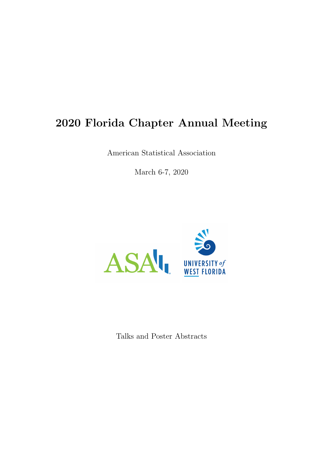## 2020 Florida Chapter Annual Meeting

American Statistical Association

March 6-7, 2020



Talks and Poster Abstracts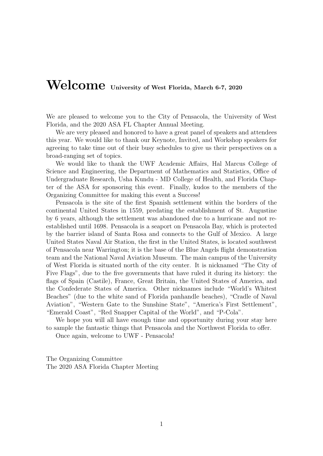## Welcome University of West Florida, March 6-7, 2020

We are pleased to welcome you to the City of Pensacola, the University of West Florida, and the 2020 ASA FL Chapter Annual Meeting.

We are very pleased and honored to have a great panel of speakers and attendees this year. We would like to thank our Keynote, Invited, and Workshop speakers for agreeing to take time out of their busy schedules to give us their perspectives on a broad-ranging set of topics.

We would like to thank the UWF Academic Affairs, Hal Marcus College of Science and Engineering, the Department of Mathematics and Statistics, Office of Undergraduate Research, Usha Kundu - MD College of Health, and Florida Chapter of the ASA for sponsoring this event. Finally, kudos to the members of the Organizing Committee for making this event a Success!

Pensacola is the site of the first Spanish settlement within the borders of the continental United States in 1559, predating the establishment of St. Augustine by 6 years, although the settlement was abandoned due to a hurricane and not reestablished until 1698. Pensacola is a seaport on Pensacola Bay, which is protected by the barrier island of Santa Rosa and connects to the Gulf of Mexico. A large United States Naval Air Station, the first in the United States, is located southwest of Pensacola near Warrington; it is the base of the Blue Angels flight demonstration team and the National Naval Aviation Museum. The main campus of the University of West Florida is situated north of the city center. It is nicknamed "The City of Five Flags", due to the five governments that have ruled it during its history: the flags of Spain (Castile), France, Great Britain, the United States of America, and the Confederate States of America. Other nicknames include "World's Whitest Beaches" (due to the white sand of Florida panhandle beaches), "Cradle of Naval Aviation", "Western Gate to the Sunshine State", "America's First Settlement", "Emerald Coast", "Red Snapper Capital of the World", and "P-Cola".

We hope you will all have enough time and opportunity during your stay here to sample the fantastic things that Pensacola and the Northwest Florida to offer.

Once again, welcome to UWF - Pensacola!

The Organizing Committee The 2020 ASA Florida Chapter Meeting